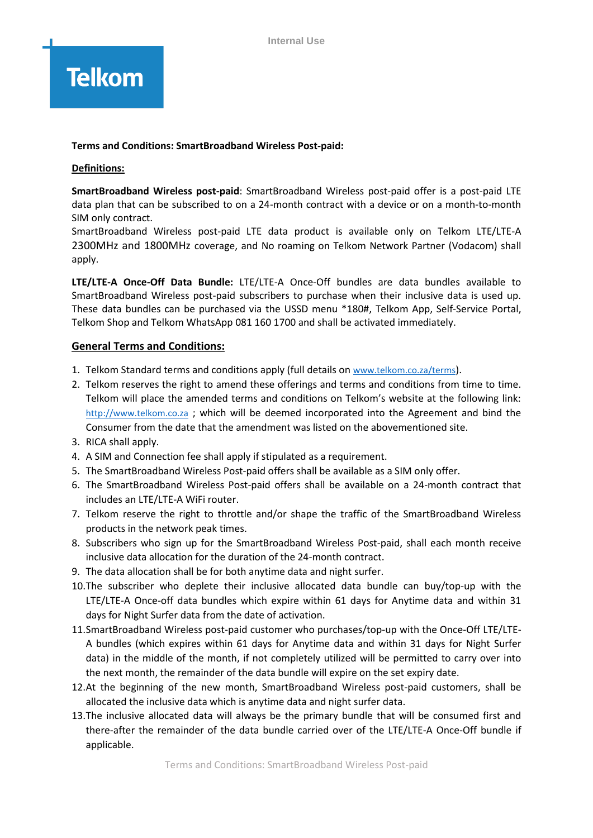# **Telkom**

### **Terms and Conditions: SmartBroadband Wireless Post-paid:**

### **Definitions:**

**SmartBroadband Wireless post-paid**: SmartBroadband Wireless post-paid offer is a post-paid LTE data plan that can be subscribed to on a 24-month contract with a device or on a month-to-month SIM only contract.

SmartBroadband Wireless post-paid LTE data product is available only on Telkom LTE/LTE-A 2300MHz and 1800MHz coverage, and No roaming on Telkom Network Partner (Vodacom) shall apply.

**LTE/LTE-A Once-Off Data Bundle:** LTE/LTE-A Once-Off bundles are data bundles available to SmartBroadband Wireless post-paid subscribers to purchase when their inclusive data is used up. These data bundles can be purchased via the USSD menu \*180#, Telkom App, Self-Service Portal, Telkom Shop and Telkom WhatsApp 081 160 1700 and shall be activated immediately.

# **General Terms and Conditions:**

- 1. Telkom Standard terms and conditions apply (full details on [www.telkom.co.za/terms](http://www.telkom.co.za/terms)).
- 2. Telkom reserves the right to amend these offerings and terms and conditions from time to time. Telkom will place the amended terms and conditions on Telkom's website at the following link: http://www.telkom.co.za ; which will be deemed incorporated into the Agreement and bind the Consumer from the date that the amendment was listed on the abovementioned site.
- 3. RICA shall apply.
- 4. A SIM and Connection fee shall apply if stipulated as a requirement.
- 5. The SmartBroadband Wireless Post-paid offers shall be available as a SIM only offer.
- 6. The SmartBroadband Wireless Post-paid offers shall be available on a 24-month contract that includes an LTE/LTE-A WiFi router.
- 7. Telkom reserve the right to throttle and/or shape the traffic of the SmartBroadband Wireless products in the network peak times.
- 8. Subscribers who sign up for the SmartBroadband Wireless Post-paid, shall each month receive inclusive data allocation for the duration of the 24-month contract.
- 9. The data allocation shall be for both anytime data and night surfer.
- 10.The subscriber who deplete their inclusive allocated data bundle can buy/top-up with the LTE/LTE-A Once-off data bundles which expire within 61 days for Anytime data and within 31 days for Night Surfer data from the date of activation.
- 11.SmartBroadband Wireless post-paid customer who purchases/top-up with the Once-Off LTE/LTE-A bundles (which expires within 61 days for Anytime data and within 31 days for Night Surfer data) in the middle of the month, if not completely utilized will be permitted to carry over into the next month, the remainder of the data bundle will expire on the set expiry date.
- 12.At the beginning of the new month, SmartBroadband Wireless post-paid customers, shall be allocated the inclusive data which is anytime data and night surfer data.
- 13.The inclusive allocated data will always be the primary bundle that will be consumed first and there-after the remainder of the data bundle carried over of the LTE/LTE-A Once-Off bundle if applicable.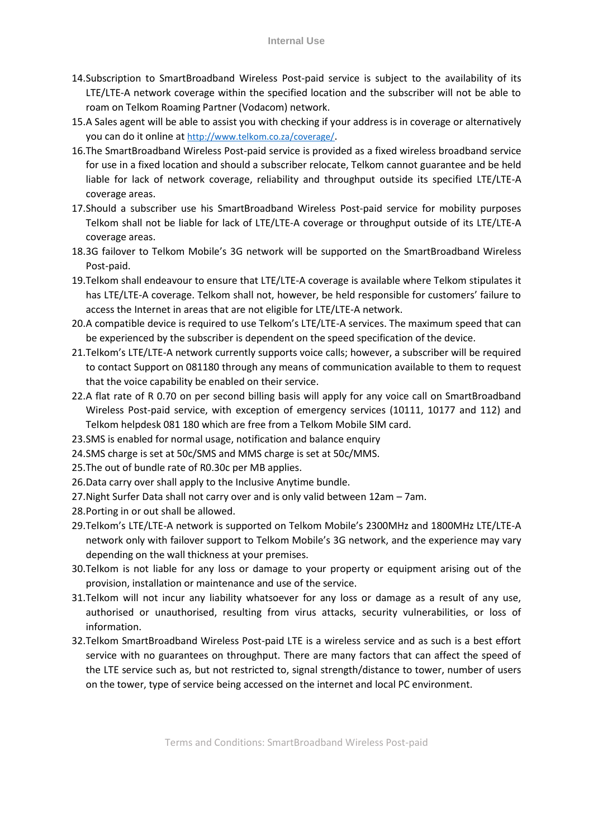- 14.Subscription to SmartBroadband Wireless Post-paid service is subject to the availability of its LTE/LTE-A network coverage within the specified location and the subscriber will not be able to roam on Telkom Roaming Partner (Vodacom) network.
- 15.A Sales agent will be able to assist you with checking if your address is in coverage or alternatively you can do it online at http://www.telkom.co.za/coverage/.
- 16.The SmartBroadband Wireless Post-paid service is provided as a fixed wireless broadband service for use in a fixed location and should a subscriber relocate, Telkom cannot guarantee and be held liable for lack of network coverage, reliability and throughput outside its specified LTE/LTE-A coverage areas.
- 17.Should a subscriber use his SmartBroadband Wireless Post-paid service for mobility purposes Telkom shall not be liable for lack of LTE/LTE-A coverage or throughput outside of its LTE/LTE-A coverage areas.
- 18.3G failover to Telkom Mobile's 3G network will be supported on the SmartBroadband Wireless Post-paid.
- 19.Telkom shall endeavour to ensure that LTE/LTE-A coverage is available where Telkom stipulates it has LTE/LTE-A coverage. Telkom shall not, however, be held responsible for customers' failure to access the Internet in areas that are not eligible for LTE/LTE-A network.
- 20.A compatible device is required to use Telkom's LTE/LTE-A services. The maximum speed that can be experienced by the subscriber is dependent on the speed specification of the device.
- 21.Telkom's LTE/LTE-A network currently supports voice calls; however, a subscriber will be required to contact Support on 081180 through any means of communication available to them to request that the voice capability be enabled on their service.
- 22.A flat rate of R 0.70 on per second billing basis will apply for any voice call on SmartBroadband Wireless Post-paid service, with exception of emergency services (10111, 10177 and 112) and Telkom helpdesk 081 180 which are free from a Telkom Mobile SIM card.
- 23.SMS is enabled for normal usage, notification and balance enquiry
- 24.SMS charge is set at 50c/SMS and MMS charge is set at 50c/MMS.
- 25.The out of bundle rate of R0.30c per MB applies.
- 26.Data carry over shall apply to the Inclusive Anytime bundle.
- 27.Night Surfer Data shall not carry over and is only valid between 12am 7am.
- 28.Porting in or out shall be allowed.
- 29.Telkom's LTE/LTE-A network is supported on Telkom Mobile's 2300MHz and 1800MHz LTE/LTE-A network only with failover support to Telkom Mobile's 3G network, and the experience may vary depending on the wall thickness at your premises.
- 30.Telkom is not liable for any loss or damage to your property or equipment arising out of the provision, installation or maintenance and use of the service.
- 31.Telkom will not incur any liability whatsoever for any loss or damage as a result of any use, authorised or unauthorised, resulting from virus attacks, security vulnerabilities, or loss of information.
- 32.Telkom SmartBroadband Wireless Post-paid LTE is a wireless service and as such is a best effort service with no guarantees on throughput. There are many factors that can affect the speed of the LTE service such as, but not restricted to, signal strength/distance to tower, number of users on the tower, type of service being accessed on the internet and local PC environment.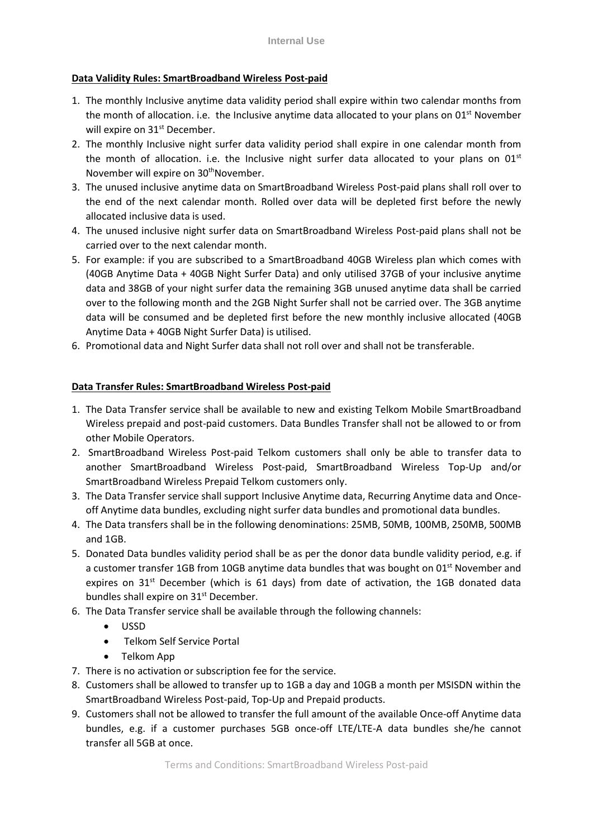## **Data Validity Rules: SmartBroadband Wireless Post-paid**

- 1. The monthly Inclusive anytime data validity period shall expire within two calendar months from the month of allocation. i.e. the Inclusive anytime data allocated to your plans on 01<sup>st</sup> November will expire on 31<sup>st</sup> December.
- 2. The monthly Inclusive night surfer data validity period shall expire in one calendar month from the month of allocation. i.e. the Inclusive night surfer data allocated to your plans on 01<sup>st</sup> November will expire on 30<sup>th</sup>November.
- 3. The unused inclusive anytime data on SmartBroadband Wireless Post-paid plans shall roll over to the end of the next calendar month. Rolled over data will be depleted first before the newly allocated inclusive data is used.
- 4. The unused inclusive night surfer data on SmartBroadband Wireless Post-paid plans shall not be carried over to the next calendar month.
- 5. For example: if you are subscribed to a SmartBroadband 40GB Wireless plan which comes with (40GB Anytime Data + 40GB Night Surfer Data) and only utilised 37GB of your inclusive anytime data and 38GB of your night surfer data the remaining 3GB unused anytime data shall be carried over to the following month and the 2GB Night Surfer shall not be carried over. The 3GB anytime data will be consumed and be depleted first before the new monthly inclusive allocated (40GB Anytime Data + 40GB Night Surfer Data) is utilised.
- 6. Promotional data and Night Surfer data shall not roll over and shall not be transferable.

# **Data Transfer Rules: SmartBroadband Wireless Post-paid**

- 1. The Data Transfer service shall be available to new and existing Telkom Mobile SmartBroadband Wireless prepaid and post-paid customers. Data Bundles Transfer shall not be allowed to or from other Mobile Operators.
- 2. SmartBroadband Wireless Post-paid Telkom customers shall only be able to transfer data to another SmartBroadband Wireless Post-paid, SmartBroadband Wireless Top-Up and/or SmartBroadband Wireless Prepaid Telkom customers only.
- 3. The Data Transfer service shall support Inclusive Anytime data, Recurring Anytime data and Onceoff Anytime data bundles, excluding night surfer data bundles and promotional data bundles.
- 4. The Data transfers shall be in the following denominations: 25MB, 50MB, 100MB, 250MB, 500MB and 1GB.
- 5. Donated Data bundles validity period shall be as per the donor data bundle validity period, e.g. if a customer transfer 1GB from 10GB anytime data bundles that was bought on 01<sup>st</sup> November and expires on  $31<sup>st</sup>$  December (which is 61 days) from date of activation, the 1GB donated data bundles shall expire on 31<sup>st</sup> December.
- 6. The Data Transfer service shall be available through the following channels:
	- USSD
	- Telkom Self Service Portal
	- Telkom App
- 7. There is no activation or subscription fee for the service.
- 8. Customers shall be allowed to transfer up to 1GB a day and 10GB a month per MSISDN within the SmartBroadband Wireless Post-paid, Top-Up and Prepaid products.
- 9. Customers shall not be allowed to transfer the full amount of the available Once-off Anytime data bundles, e.g. if a customer purchases 5GB once-off LTE/LTE-A data bundles she/he cannot transfer all 5GB at once.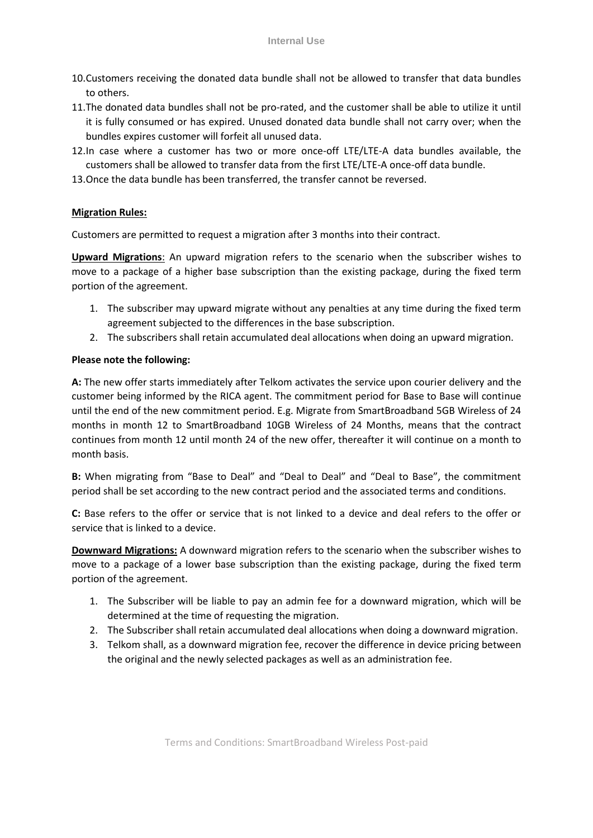- 10.Customers receiving the donated data bundle shall not be allowed to transfer that data bundles to others.
- 11.The donated data bundles shall not be pro-rated, and the customer shall be able to utilize it until it is fully consumed or has expired. Unused donated data bundle shall not carry over; when the bundles expires customer will forfeit all unused data.
- 12.In case where a customer has two or more once-off LTE/LTE-A data bundles available, the customers shall be allowed to transfer data from the first LTE/LTE-A once-off data bundle.
- 13.Once the data bundle has been transferred, the transfer cannot be reversed.

#### **Migration Rules:**

Customers are permitted to request a migration after 3 months into their contract.

**Upward Migrations**: An upward migration refers to the scenario when the subscriber wishes to move to a package of a higher base subscription than the existing package, during the fixed term portion of the agreement.

- 1. The subscriber may upward migrate without any penalties at any time during the fixed term agreement subjected to the differences in the base subscription.
- 2. The subscribers shall retain accumulated deal allocations when doing an upward migration.

#### **Please note the following:**

**A:** The new offer starts immediately after Telkom activates the service upon courier delivery and the customer being informed by the RICA agent. The commitment period for Base to Base will continue until the end of the new commitment period. E.g. Migrate from SmartBroadband 5GB Wireless of 24 months in month 12 to SmartBroadband 10GB Wireless of 24 Months, means that the contract continues from month 12 until month 24 of the new offer, thereafter it will continue on a month to month basis.

**B:** When migrating from "Base to Deal" and "Deal to Deal" and "Deal to Base", the commitment period shall be set according to the new contract period and the associated terms and conditions.

**C:** Base refers to the offer or service that is not linked to a device and deal refers to the offer or service that is linked to a device.

**Downward Migrations:** A downward migration refers to the scenario when the subscriber wishes to move to a package of a lower base subscription than the existing package, during the fixed term portion of the agreement.

- 1. The Subscriber will be liable to pay an admin fee for a downward migration, which will be determined at the time of requesting the migration.
- 2. The Subscriber shall retain accumulated deal allocations when doing a downward migration.
- 3. Telkom shall, as a downward migration fee, recover the difference in device pricing between the original and the newly selected packages as well as an administration fee.